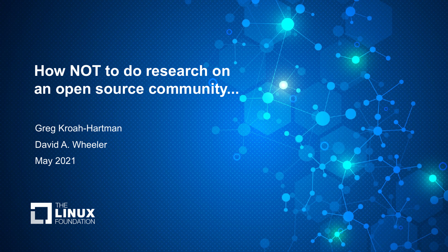# **How NOT to do research on an open source community...**

Greg Kroah-Hartman David A. Wheeler May 2021

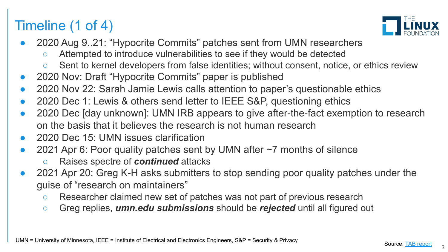# Timeline (1 of 4)



- 2020 Aug 9..21: "Hypocrite Commits" patches sent from UMN researchers
	- Attempted to introduce vulnerabilities to see if they would be detected
	- Sent to kernel developers from false identities; without consent, notice, or ethics review
- 2020 Nov: Draft "Hypocrite Commits" paper is published
- 2020 Nov 22: Sarah Jamie Lewis calls attention to paper's questionable ethics
- 2020 Dec 1: Lewis & others send letter to IEEE S&P, questioning ethics
- 2020 Dec [day unknown]: UMN IRB appears to give after-the-fact exemption to research on the basis that it believes the research is not human research
- 2020 Dec 15: UMN issues clarification
- 2021 Apr 6: Poor quality patches sent by UMN after  $\sim$ 7 months of silence
	- Raises spectre of *continued* attacks
- 2021 Apr 20: Greg K-H asks submitters to stop sending poor quality patches under the guise of "research on maintainers"
	- Researcher claimed new set of patches was not part of previous research
	- Greg replies, *umn.edu submissions* should be *rejected* until all figured out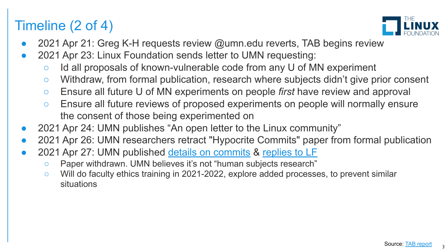## Timeline (2 of 4)



- 2021 Apr 21: Greg K-H requests review @umn.edu reverts, TAB begins review
- 2021 Apr 23: Linux Foundation sends letter to UMN requesting:
	- Id all proposals of known-vulnerable code from any U of MN experiment
	- Withdraw, from formal publication, research where subjects didn't give prior consent
	- Ensure all future U of MN experiments on people *first* have review and approval
	- Ensure all future reviews of proposed experiments on people will normally ensure the consent of those being experimented on
- 2021 Apr 24: UMN publishes "An open letter to the Linux community"
- 2021 Apr 26: UMN researchers retract "Hypocrite Commits" paper from formal publication
- 2021 Apr 27: UMN published [details on commits](https://www-users.cs.umn.edu/~kjlu/papers/full-disclosure.pdf) & [replies to LF](https://drive.google.com/file/d/1z3Nm2bfR4tH1nOGBpuOmLyoJVEiO9cUq/view)
	- Paper withdrawn. UMN believes it's not "human subjects research"
	- Will do faculty ethics training in 2021-2022, explore added processes, to prevent similar situations

3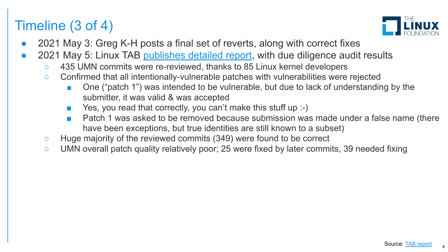## Timeline (3 of 4)



- 2021 May 3: Greg K-H posts a final set of reverts, along with correct fixes
- 2021 May 5: Linux TAB [publishes detailed report,](https://lore.kernel.org/r/202105051005.49BFABCE@keescook) with due diligence audit results
	- 435 UMN commits were re-reviewed, thanks to 85 Linux kernel developers
	- Confirmed that all intentionally-vulnerable patches with vulnerabilities were rejected
		- One ("patch 1") was intended to be vulnerable, but due to lack of understanding by the submitter, it was valid & was accepted
		- Yes, you read that correctly, you can't make this stuff up :-)
		- Patch 1 was asked to be removed because submission was made under a false name (there have been exceptions, but true identities are still known to a subset)
	- Huge majority of the reviewed commits (349) were found to be correct
	- UMN overall patch quality relatively poor; 25 were fixed by later commits, 39 needed fixing

4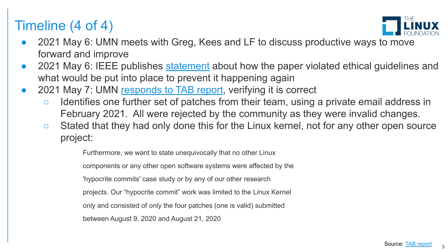## Timeline (4 of 4)



- 2021 May 6: UMN meets with Greg, Kees and LF to discuss productive ways to move forward and improve
- 2021 May 6: IEEE publishes [statement](https://www.ieee-security.org/TC/SP2021/downloads/2021_PC_Statement.pdf) about how the paper violated ethical guidelines and what would be put into place to prevent it happening again
- 2021 May 7: UMN [responds to TAB report](https://lore.kernel.org/r/CAK8Kejr8bggXruciJT=JW3mk2z=WxYrtN+HBouPq4E2FU=6GrQ@mail.gmail.com), verifying it is correct
	- Identifies one further set of patches from their team, using a private email address in February 2021. All were rejected by the community as they were invalid changes.
	- Stated that they had only done this for the Linux kernel, not for any other open source project:

Furthermore, we want to state unequivocally that no other Linux

components or any other open software systems were affected by the

'hypocrite commits' case study or by any of our other research

projects. Our "hypocrite commit" work was limited to the Linux Kernel

only and consisted of only the four patches (one is valid) submitted

between August 9, 2020 and August 21, 2020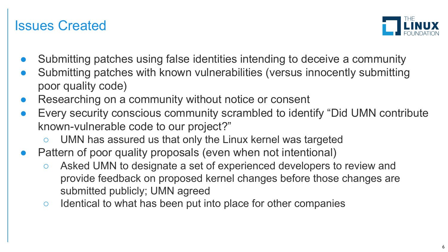#### Issues Created



- Submitting patches using false identities intending to deceive a community
- Submitting patches with known vulnerabilities (versus innocently submitting poor quality code)
- Researching on a community without notice or consent
- Every security conscious community scrambled to identify "Did UMN contribute known-vulnerable code to our project?"
	- UMN has assured us that only the Linux kernel was targeted
- Pattern of poor quality proposals (even when not intentional)
	- Asked UMN to designate a set of experienced developers to review and provide feedback on proposed kernel changes before those changes are submitted publicly; UMN agreed
	- Identical to what has been put into place for other companies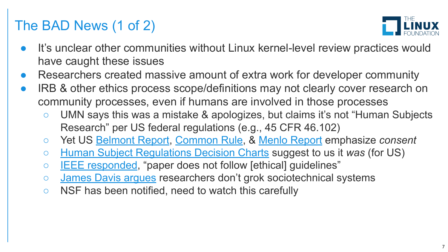# The BAD News (1 of 2)



- It's unclear other communities without Linux kernel-level review practices would have caught these issues
- Researchers created massive amount of extra work for developer community
- IRB & other ethics process scope/definitions may not clearly cover research on community processes, even if humans are involved in those processes
	- UMN says this was a mistake & apologizes, but claims it's not "Human Subjects Research" per US federal regulations (e.g., 45 CFR 46.102)
	- Yet US [Belmont Report](https://www.hhs.gov/ohrp/regulations-and-policy/belmont-report), [Common Rule](https://www.hhs.gov/ohrp/regulations-and-policy/regulations/common-rule/index.html), & [Menlo Report](https://www.dhs.gov/sites/default/files/publications/CSD-MenloPrinciplesCORE-20120803_1.pdf) emphasize *consent*
	- [Human Subject Regulations Decision Charts](https://www.hhs.gov/ohrp/regulations-and-policy/decision-charts-2018/index.html#c1) suggest to us it *was* (for US)
	- [IEEE responded,](https://www.ieee-security.org/TC/SP2021/downloads/2021_PC_Statement.pdf) "paper does not follow [ethical] guidelines"
	- [James Davis argues](https://davisjam.medium.com/ethical-conduct-in-cybersecurity-research-86d13b6b6eed) researchers don't grok sociotechnical systems
	- NSF has been notified, need to watch this carefully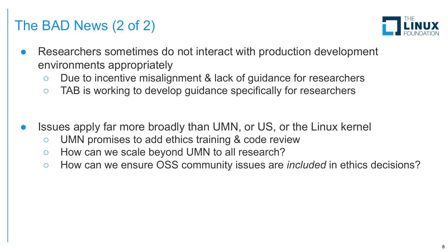# The BAD News (2 of 2)



- Researchers sometimes do not interact with production development environments appropriately
	- Due to incentive misalignment & lack of guidance for researchers
	- TAB is working to develop guidance specifically for researchers
- Issues apply far more broadly than UMN, or US, or the Linux kernel
	- UMN promises to add ethics training & code review
	- How can we scale beyond UMN to all research?
	- How can we ensure OSS community issues are *included* in ethics decisions?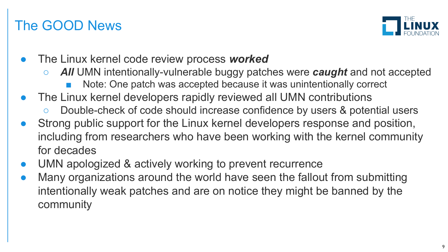## The GOOD News



- The Linux kernel code review process *worked*
	- *All* UMN intentionally-vulnerable buggy patches were *caught* and not accepted
		- Note: One patch was accepted because it was unintentionally correct
- The Linux kernel developers rapidly reviewed all UMN contributions
	- Double-check of code should increase confidence by users & potential users
- Strong public support for the Linux kernel developers response and position, including from researchers who have been working with the kernel community for decades
- UMN apologized & actively working to prevent recurrence
- Many organizations around the world have seen the fallout from submitting intentionally weak patches and are on notice they might be banned by the community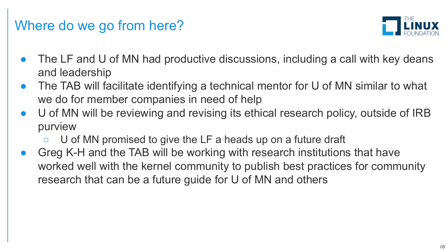#### Where do we go from here?



- The LF and U of MN had productive discussions, including a call with key deans and leadership
- The TAB will facilitate identifying a technical mentor for U of MN similar to what we do for member companies in need of help
- U of MN will be reviewing and revising its ethical research policy, outside of IRB purview
	- U of MN promised to give the LF a heads up on a future draft
- Greg K-H and the TAB will be working with research institutions that have worked well with the kernel community to publish best practices for community research that can be a future guide for U of MN and others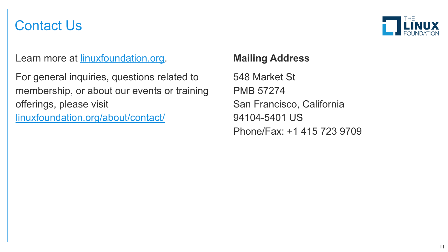### Contact Us

Learn more at [linuxfoundation.org](https://linuxfoundation.org/).

For general inquiries, questions related to membership, or about our events or training offerings, please visit

[linuxfoundation.org/about/contact/](https://linuxfoundation.org/about/contact/)

#### **Mailing Address**

548 Market St PMB 57274 San Francisco, California 94104-5401 US Phone/Fax: +1 415 723 9709